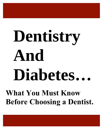# **Dentistry And Diabetes… What You Must Know**

**Before Choosing a Dentist.**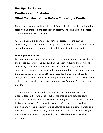## **Re: Special Report Dentistry and Diabetes: What You Must Know Before Choosing a Dentist**

No one enjoys going to the dentist, but for people with diabetes, getting that cleaning and check-up are especially important. The link between diabetes and oral health can't be ignored.

While everyone is prone to periodontitis, or diseases of the tissues surrounding the teeth and gums, people with diabetes often have more severe cases that can both cause and predict additional diabetic complications.

## **Defining Periodontitis**

Periodontitis or periodontal diseases involve inflammation and destruction of the tissues supporting and surrounding the teeth, including the gums and supporting bone. Periodontitis destroys the periodontal ligaments or connective tissue fibers that attach the tooth to the bone causing resorption of the alveolar bone (tooth socket). Consequently, the gums swell, redden, change shape, bleed, teeth loosen and pus forms. With the loss of soft tissue and bony support, deep periodontal pockets may form that foster bacterial growth.

The formation of plaque on the teeth is the first step toward periodontal disease. Plaque, the white sticky substance that collects between teeth, is often the start of periodontitis. Made of microorganisms, dead skin cells and leukocytes (infection fighting white blood cells), it can be removed by brushing and flossing regularly. If it is allowed to build up, it will harden and turn into tartar. Tartar can only be removed with a professional cleaning at the dentist's office. Both plaque and tartar make the gums vulnerable to infection.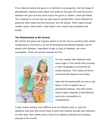If an infection enters the gums it is referred to as gingivitis, the first stage of periodontitis. Bacteria that collect and breed at the gum line and the groove between the gum and the tooth cause the gums to redden, swell and bleed. This response is normal but can also lead to periodontitis. Gums affected by gingivitis often bleed and are sensitive, but not always. Other signs include swollen gums, loose teeth, a bad taste in the mouth and persistent bad breath.

#### **The Relationship to BG Control**

BG control and good oral hygiene seems to be the key to avoiding most dental complications. Everyone is at risk of developing periodontal disease, but all people with diabetes, regardless of age or type of diabetes, are more susceptible. There are several reasons for this.



For one, people with diabetes have more sugar in the mouth that provides a more hospitable environment for hostile bacteria. This makes all forms of periodontal disease more likely.

High and fluctuating BGs are also a big factor in the increased risk of periodontal disease. Poor BG control means higher degrees of periodontitis and more vulnerability to complications.

It also makes healing more difficult once an infection sets in. Just like diabetics with poor BG control have a hard time healing wounds and infections on their feet, their bodies have a hard time fighting infections and healing wounds in the mouth.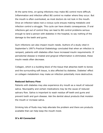At the same time, on-going infections may make BG control more difficult. Inflammation and infection affect BG control no matter where they occur. But the mouth is often overlooked, as most doctors do not look in the mouth. Once an infection takes root a vicious cycle ensues making metabolic and infection control a struggle. This cycle can have drastic consequences. If oral infections get out of control they can lead to BG control problems serious enough to land a person with diabetes in the hospital, to say nothing of the damage to the teeth and gums.

Gum infections can also impact insulin needs. Authors of a study cited in September's 1997's Practical Diabetology concluded that when an infection is rampant, patients with diabetes often have increased insulin requirements. If periodontal disease is treated and gingival inflammation is eliminated, these insulin needs often decrease.

Collagen, which is a building block of the tissue that attaches teeth to bones and the surrounding soft tissue, is also affected by diabetes. Diabetes' effect on collagen metabolism may make an infection potentially more destructive.

#### **Reduced Salivary Flow**

Patients with diabetes may also experience dry mouth as a result of reduced saliva. Neuropathy and certain medications may be the cause of reduced salivary flow. Saliva is important to wash residue off teeth and gums and prevent tooth and gum disease. Ask the dentist about products that moisten the mouth or increase saliva.

Drinking lots of fluids may help alleviate the problem and there are products available that can help keep the mouth moist.

#### **It's All Connected**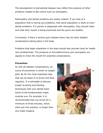The development of periodontal disease may reflect the presence of other problems related to BG control such as retinopathy.

Retinopathy and dental problems are closely related. If you look at a population that is having eye problems, that same population is likely to have dental problems. If a person is diagnosed with retinopathy, they should make sure that their mouth is being examined and the gums are healthy.

Conversely, if there is serious gum disease there may be other diabetic complications taking place in the body.

Problems that begin elsewhere in the body should also provide clues for health care professionals. The presence of microalbuminuria and neuropathy are signals to check the mouth for potential complications.

#### **Prevention**

As with all diabetic complications, an ounce of prevention is worth its weight **in the same of prevention is worth its weight** in gold. By far the most important step that can be taken is to brush and floss regularly. It is advisable to discuss proper brushing and flossing techniques with your dental team. Some of the fundamentals might surprise you. For example, it is recommended that you brush for a minimum of three minutes, which, when put into practice, is longer than one might imagine.

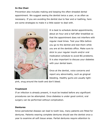## **In the Chair**

Prevention also includes making and keeping the often-dreaded dental appointment. We suggest seeing the dentist twice a year, or as often as necessary. If you are avoiding the dentist due to fear and or loathing, here are some strategies to make it a little easier to deal with.



It is best to schedule dental appointments, about an hour and a half after breakfast so that the appointment does not interfere with regular meal times. Test your BGs before you go to the dentist and test them while you are at the dentists office. Make sure to stick to your regular insulin and/or oral medication schedule to avoid BG problems. It is also important to discuss your diabetes with your dental team.

Once at the dentist, voice concerns and report any abnormality, such as gingival bleeding. Healthy gums are usually light-

pink, snug around the tooth and don't bleed.

#### **Treatment**

If an infection is already present, it must be treated before any significant procedures can be attempted. Once diabetes is under good control, oral surgery can be performed without complication.

#### **Dentures**

Since periodontal disease can lead to tooth loss, many patients are fitted for dentures. Patients wearing complete dentures should see the dentist once a year to examine all soft tissue areas. Partial dentures require attention to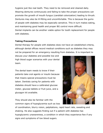hygiene just like real teeth. They need to be removed and cleaned daily. Wearing dentures continuously and failing to take the proper precautions can promote the growth of mouth fungus (candidal colonization) leading to thrush. Dentures may also be ill-fitting and uncomfortable. This is because the gums of people with diabetes may be especially sensitive. This in turn makes eating, and maintaining good health and proper BG control more difficult. Dental implants can be another viable option for tooth replacement for people with diabetes.

#### **Taking Precautions**

Dental therapy for people with diabetes does not have an established criteria, although dental offices record medical conditions such as diabetes they may not be prepared for an emergency resulting from diabetes. It is important to

discuss your diabetes and possible low and high blood sugar scenarios with your dental team.

The dental team needs to know if their patients take oral agents or insulin because that means special precautions must be taken. Dentists caring for patients with diabetes should have a calibrated glucose meter, glucose tablets or fruit juice, and a glucagon kit available.

They should also be familiar with the common signs of hypoglycemia such as loss



of coordination, blurry vision, palpitations, rapid heart rate, sweating and shaking. He also suggests finding out if a patient with diabetes has hypoglycemic unawareness, a condition in which they experience few if any signs and symptoms of low blood sugars.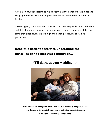A common situation leading to hypoglycemia at the dental office is a patient skipping breakfast before an appointment but taking the regular amount of insulin.

Severe hyperglycemia may occur as well, but less frequently. Acetone breath and dehydration, dry mucous membranes and changes in mental status are signs that blood glucose is too high and dental procedures should be postponed.

## **Read this patient's story to understand the dental-health to diabetes connection…**



**"I'll dance at your wedding…"**

**Sure, I know it's a long time down the road. But, when my daughter, or my son, decides to get married, I'm going to be healthy enough to dance. And, I plan on dancing all night long.**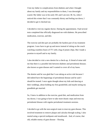I lost my father to complications from diabetes and when I thought about my family and my responsibilities to them, I was downright scared. My father was in his early 50's and I am now 38. So, when I noticed this winter that I was constantly thirsty and feeling run down, I decided to get it checked out.

I decided to visit my regular doctor. During the appointment, I had several tests completed that officially diagnosed me with diabetes. He prescribed medication, exercise, and diet.

The exercise and diet part are probably the hardest part of my treatment program. I now have to get up and move instead of sitting on the couch watching countless hours of TV with a bag of potato chips. But I made a promise to myself and to my family.

I also decided to visit a new dentist for a check-up. A friend of mine told me that there is a possible link between diabetes and periodontal disease; also known as gum disease and I wanted to cover all of my bases.

The dentist said he was glad that I was taking an active role because I did indeed have the beginnings of periodontal disease and he said I should be treated. I once again thought about my kids and dancing at their weddings, about holding my first grandchild, and maybe seeing my grandkids get married.

So, I knew in addition to the exercise, good diet, and medication from my doctor, I was going to have to take more drastic steps and treat my periodontal disease with regular periodontal treatment sessions.

I decided to go with the non-surgical route to treat my gum disease. This involved treatment to remove plaque and calculus through scaling. I also started using a special toothpaste and mouthwash. And, of course, that old, reliable enemy of gum disease – flossing.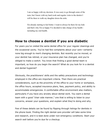I am so happy with my decision. It was scary to go through some of the tests, but I know with my hard work and regular visits to the dentist I will be there to walk my daughter down the aisle.

I'm already starting to feel better. I want to always be there for my kids and that's why I'm so happy I've decided to take charge of my health including my oral health.

## **How to choose a dentist if you are diabetic**

For years you've visited the same dental office for your regular cleanings and the occasional cavity. You've had few complaints about your care—certainly none big enough to merit changing dentists. But recently you've moved, or your dentist has retired, or your insurance plan has changed, and you're obliged to make a switch. You know that finding a good dental team is important, so how do you begin the search? What do you look for in a dentist and dental hygienist?

Obviously, the practitioners' skills and the safety precautions and technology employed in the office are important criteria. Then there are practical considerations, such as the proximity of the office to your home or workplace, the office hours, accepted insurance plans, fees, payment policy, and ability to accommodate emergencies. A comfortable office environment also matters, particularly if you have any anxiety about dental work. You want a dental team with a good "chair side manner," one that is willing to listen to your concerns, answer your questions, and explain what they're doing and why.

Few of these details can be found by flipping through listings for dentists in the phone book. Finding the right dental-care provider will take some time and research, and it is best done under non-emergency conditions. Start your search well before you're due for a checkup.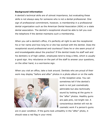#### **Background information**

A dentist's technical skills are of utmost importance, but evaluating these skills is not always easy for someone who is not a dental professional. One sign of professional commitment, however, is membership in a professional dental organization such as the American Dental Association (ADA) or a state dental association. The dentist's receptionist should be able to tell you over the telephone if the dentist maintains such a membership.

When you call a dentist's office, it's perfectly all right to ask the receptionist his or her name and how long he or she has worked with the dentist. Does the receptionist sound professional and courteous? Does he or she seem proud of and knowledgeable about the practice? If the dentist treats his staff well and his dentistry is of high caliber, employees tend to brag a little, which is usually a good sign. Any reluctance on the part of the staff to answer your questions, on the other hand, is a worrisome sign.

When you visit an office, take a look around. Dentists who are proud of their work may display "before and after" photos in a photo album or on the walls



in the reception area. You can sometimes tell if the dentist's work is not just cosmetically admirable but also technically sound by looking at the gums in the "after" photos. Healthy gums are pale pink, not bright red. A conscientious dentist will not do cosmetic work if a person's gums

are in poor condition. If the gums look unhealthy in the "after" photo, it should raise a red flag in your mind.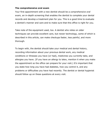#### **The comprehensive oral exam**

Your first appointment with a new dentist should be a *comprehensive oral exam,* an in-depth screening that enables the dentist to complete your dental records and develop a treatment plan for you. This is a good time to evaluate a dentist's manner and care and to make sure that this office is right for you.

Take note of the equipment used, too. A dentist who relies on older techniques can provide excellent care, but newer technology, some of which is described in this article, can make checkups faster, less painful, and more thorough.

To begin with, the dentist should take your medical and dental history, recording information about your previous dental work, any medical conditions or illnesses you have (or had), medicines you currently take, and allergies you have. (If you have an allergy to latex, mention it when you make the appointment so the office can prepare for your visit.) It's important that you state how long you have had diabetes, how you control it, and any problems or difficulties you have had recently. The dentist or dental hygienist should follow up on these questions at every visit.